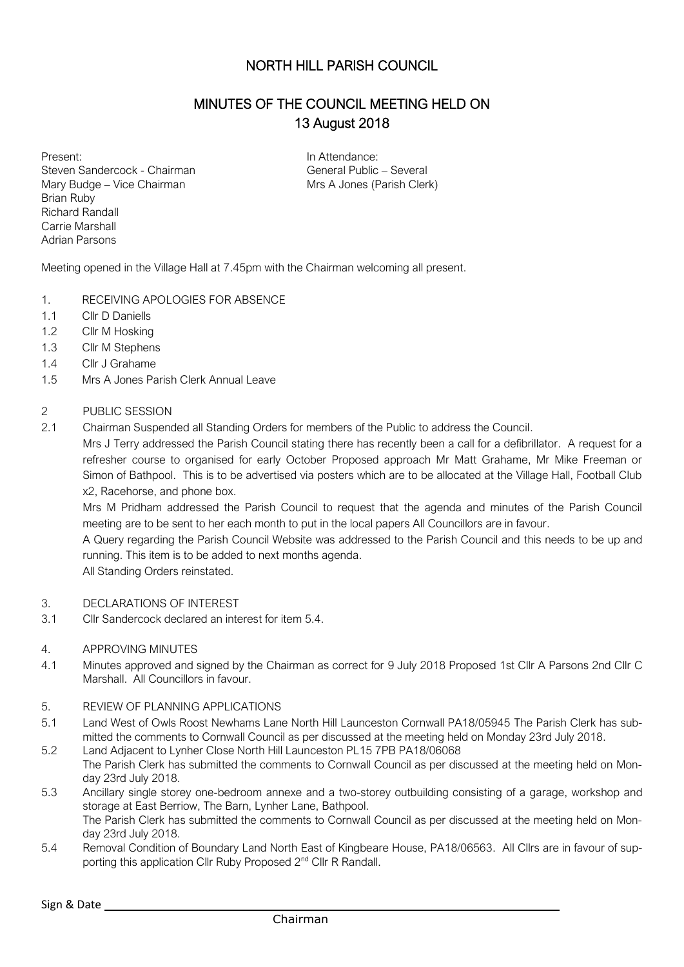## NORTH HILL PARISH COUNCIL

# MINUTES OF THE COUNCIL MEETING HELD ON 13 August 2018

Present: Steven Sandercock - Chairman Mary Budge – Vice Chairman Brian Ruby Richard Randall Carrie Marshall Adrian Parsons

In Attendance: General Public – Several Mrs A Jones (Parish Clerk)

Meeting opened in the Village Hall at 7.45pm with the Chairman welcoming all present.

- 1. RECEIVING APOLOGIES FOR ABSENCE
- 1.1 Cllr D Daniells
- 1.2 Cllr M Hosking
- 1.3 Cllr M Stephens
- 1.4 Cllr J Grahame
- 1.5 Mrs A Jones Parish Clerk Annual Leave

#### 2 PUBLIC SESSION

2.1 Chairman Suspended all Standing Orders for members of the Public to address the Council.

Mrs J Terry addressed the Parish Council stating there has recently been a call for a defibrillator. A request for a refresher course to organised for early October Proposed approach Mr Matt Grahame, Mr Mike Freeman or Simon of Bathpool. This is to be advertised via posters which are to be allocated at the Village Hall, Football Club x2, Racehorse, and phone box.

Mrs M Pridham addressed the Parish Council to request that the agenda and minutes of the Parish Council meeting are to be sent to her each month to put in the local papers All Councillors are in favour.

A Query regarding the Parish Council Website was addressed to the Parish Council and this needs to be up and running. This item is to be added to next months agenda.

All Standing Orders reinstated.

- 3. DECLARATIONS OF INTEREST
- 3.1 Cllr Sandercock declared an interest for item 5.4.

#### 4. APPROVING MINUTES

4.1 Minutes approved and signed by the Chairman as correct for 9 July 2018 Proposed 1st Cllr A Parsons 2nd Cllr C Marshall. All Councillors in favour.

#### 5. REVIEW OF PLANNING APPLICATIONS

- 5.1 Land West of Owls Roost Newhams Lane North Hill Launceston Cornwall PA18/05945 The Parish Clerk has submitted the comments to Cornwall Council as per discussed at the meeting held on Monday 23rd July 2018.
- 5.2 Land Adjacent to Lynher Close North Hill Launceston PL15 7PB PA18/06068 The Parish Clerk has submitted the comments to Cornwall Council as per discussed at the meeting held on Monday 23rd July 2018.
- 5.3 Ancillary single storey one-bedroom annexe and a two-storey outbuilding consisting of a garage, workshop and storage at East Berriow, The Barn, Lynher Lane, Bathpool. The Parish Clerk has submitted the comments to Cornwall Council as per discussed at the meeting held on Monday 23rd July 2018.
- 5.4 Removal Condition of Boundary Land North East of Kingbeare House, PA18/06563. All Cllrs are in favour of supporting this application Cllr Ruby Proposed 2<sup>nd</sup> Cllr R Randall.